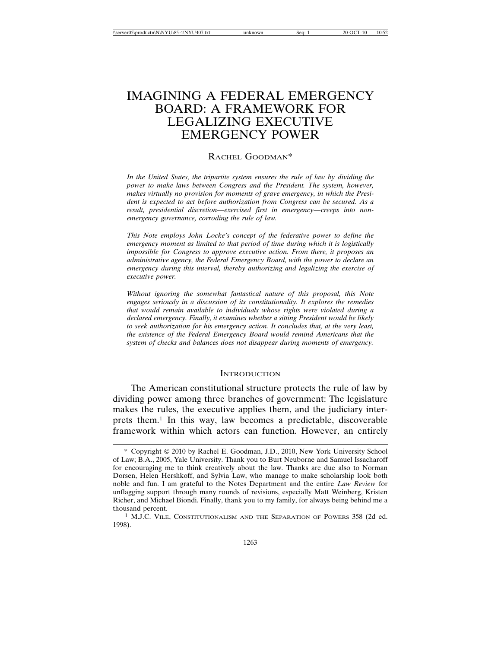# IMAGINING A FEDERAL EMERGENCY BOARD: A FRAMEWORK FOR LEGALIZING EXECUTIVE EMERGENCY POWER

## RACHEL GOODMAN\*

*In the United States, the tripartite system ensures the rule of law by dividing the power to make laws between Congress and the President. The system, however, makes virtually no provision for moments of grave emergency, in which the President is expected to act before authorization from Congress can be secured. As a result, presidential discretion—exercised first in emergency—creeps into nonemergency governance, corroding the rule of law.*

*This Note employs John Locke's concept of the federative power to define the emergency moment as limited to that period of time during which it is logistically impossible for Congress to approve executive action. From there, it proposes an administrative agency, the Federal Emergency Board, with the power to declare an emergency during this interval, thereby authorizing and legalizing the exercise of executive power.*

*Without ignoring the somewhat fantastical nature of this proposal, this Note engages seriously in a discussion of its constitutionality. It explores the remedies that would remain available to individuals whose rights were violated during a declared emergency. Finally, it examines whether a sitting President would be likely to seek authorization for his emergency action. It concludes that, at the very least, the existence of the Federal Emergency Board would remind Americans that the system of checks and balances does not disappear during moments of emergency.*

#### **INTRODUCTION**

The American constitutional structure protects the rule of law by dividing power among three branches of government: The legislature makes the rules, the executive applies them, and the judiciary interprets them.1 In this way, law becomes a predictable, discoverable framework within which actors can function. However, an entirely

<sup>\*</sup> Copyright 2010 by Rachel E. Goodman, J.D., 2010, New York University School of Law; B.A., 2005, Yale University. Thank you to Burt Neuborne and Samuel Issacharoff for encouraging me to think creatively about the law. Thanks are due also to Norman Dorsen, Helen Hershkoff, and Sylvia Law, who manage to make scholarship look both noble and fun. I am grateful to the Notes Department and the entire *Law Review* for unflagging support through many rounds of revisions, especially Matt Weinberg, Kristen Richer, and Michael Biondi. Finally, thank you to my family, for always being behind me a thousand percent.

<sup>1</sup> M.J.C. VILE, CONSTITUTIONALISM AND THE SEPARATION OF POWERS 358 (2d ed. 1998).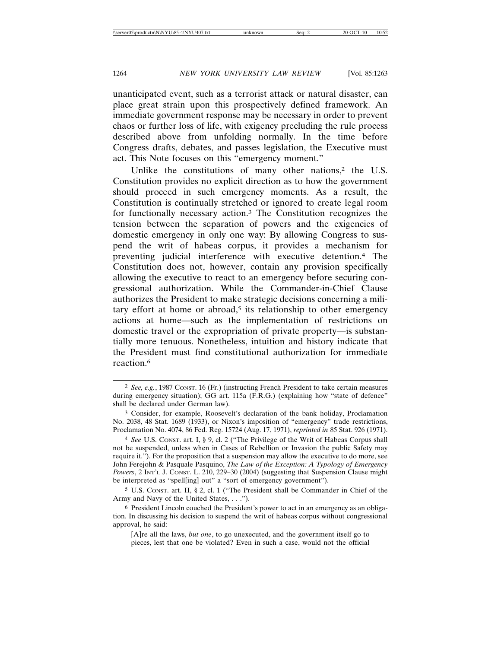unanticipated event, such as a terrorist attack or natural disaster, can place great strain upon this prospectively defined framework. An immediate government response may be necessary in order to prevent chaos or further loss of life, with exigency precluding the rule process described above from unfolding normally. In the time before Congress drafts, debates, and passes legislation, the Executive must act. This Note focuses on this "emergency moment."

Unlike the constitutions of many other nations,<sup>2</sup> the U.S. Constitution provides no explicit direction as to how the government should proceed in such emergency moments. As a result, the Constitution is continually stretched or ignored to create legal room for functionally necessary action.3 The Constitution recognizes the tension between the separation of powers and the exigencies of domestic emergency in only one way: By allowing Congress to suspend the writ of habeas corpus, it provides a mechanism for preventing judicial interference with executive detention.4 The Constitution does not, however, contain any provision specifically allowing the executive to react to an emergency before securing congressional authorization. While the Commander-in-Chief Clause authorizes the President to make strategic decisions concerning a military effort at home or abroad,<sup>5</sup> its relationship to other emergency actions at home—such as the implementation of restrictions on domestic travel or the expropriation of private property—is substantially more tenuous. Nonetheless, intuition and history indicate that the President must find constitutional authorization for immediate reaction.6

<sup>2</sup> *See, e.g.*, 1987 CONST. 16 (Fr.) (instructing French President to take certain measures during emergency situation); GG art. 115a (F.R.G.) (explaining how "state of defence" shall be declared under German law).

<sup>3</sup> Consider, for example, Roosevelt's declaration of the bank holiday, Proclamation No. 2038, 48 Stat. 1689 (1933), or Nixon's imposition of "emergency" trade restrictions, Proclamation No. 4074, 86 Fed. Reg. 15724 (Aug. 17, 1971), *reprinted in* 85 Stat. 926 (1971).

<sup>4</sup> *See* U.S. CONST. art. I, § 9, cl. 2 ("The Privilege of the Writ of Habeas Corpus shall not be suspended, unless when in Cases of Rebellion or Invasion the public Safety may require it."). For the proposition that a suspension may allow the executive to do more, see John Ferejohn & Pasquale Pasquino, *The Law of the Exception: A Typology of Emergency Powers*, 2 INT'L J. CONST. L. 210, 229–30 (2004) (suggesting that Suspension Clause might be interpreted as "spell[ing] out" a "sort of emergency government").

<sup>5</sup> U.S. CONST. art. II, § 2, cl. 1 ("The President shall be Commander in Chief of the Army and Navy of the United States, . . .").

<sup>6</sup> President Lincoln couched the President's power to act in an emergency as an obligation. In discussing his decision to suspend the writ of habeas corpus without congressional approval, he said:

<sup>[</sup>A]re all the laws, *but one*, to go unexecuted, and the government itself go to pieces, lest that one be violated? Even in such a case, would not the official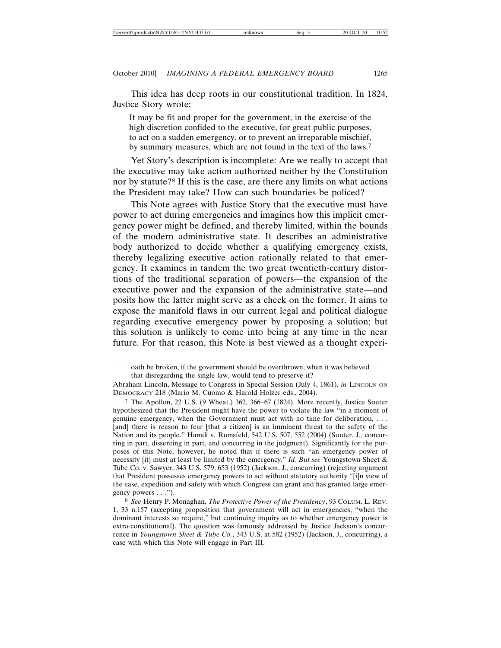This idea has deep roots in our constitutional tradition. In 1824, Justice Story wrote:

It may be fit and proper for the government, in the exercise of the high discretion confided to the executive, for great public purposes, to act on a sudden emergency, or to prevent an irreparable mischief, by summary measures, which are not found in the text of the laws.7

Yet Story's description is incomplete: Are we really to accept that the executive may take action authorized neither by the Constitution nor by statute?8 If this is the case, are there any limits on what actions the President may take? How can such boundaries be policed?

This Note agrees with Justice Story that the executive must have power to act during emergencies and imagines how this implicit emergency power might be defined, and thereby limited, within the bounds of the modern administrative state. It describes an administrative body authorized to decide whether a qualifying emergency exists, thereby legalizing executive action rationally related to that emergency. It examines in tandem the two great twentieth-century distortions of the traditional separation of powers—the expansion of the executive power and the expansion of the administrative state—and posits how the latter might serve as a check on the former. It aims to expose the manifold flaws in our current legal and political dialogue regarding executive emergency power by proposing a solution; but this solution is unlikely to come into being at any time in the near future. For that reason, this Note is best viewed as a thought experi-

oath be broken, if the government should be overthrown, when it was believed that disregarding the single law, would tend to preserve it?

Abraham Lincoln, Message to Congress in Special Session (July 4, 1861), *in* LINCOLN ON DEMOCRACY 218 (Mario M. Cuomo & Harold Holzer eds., 2004).

<sup>7</sup> The Apollon, 22 U.S. (9 Wheat.) 362, 366–67 (1824). More recently, Justice Souter hypothesized that the President might have the power to violate the law "in a moment of genuine emergency, when the Government must act with no time for deliberation, . . . [and] there is reason to fear [that a citizen] is an imminent threat to the safety of the Nation and its people." Hamdi v. Rumsfeld, 542 U.S. 507, 552 (2004) (Souter, J., concurring in part, dissenting in part, and concurring in the judgment). Significantly for the purposes of this Note, however, he noted that if there is such "an emergency power of necessity [it] must at least be limited by the emergency." *Id. But see* Youngstown Sheet & Tube Co. v. Sawyer, 343 U.S. 579, 653 (1952) (Jackson, J., concurring) (rejecting argument that President possesses emergency powers to act without statutory authority "[i]n view of the ease, expedition and safety with which Congress can grant and has granted large emergency powers . . .").

<sup>8</sup> *See* Henry P. Monaghan, *The Protective Power of the Presidency*, 93 COLUM. L. REV. 1, 33 n.157 (accepting proposition that government will act in emergencies, "when the dominant interests so require," but continuing inquiry as to whether emergency power is extra-constitutional). The question was famously addressed by Justice Jackson's concurrence in *Youngstown Sheet & Tube Co.*, 343 U.S. at 582 (1952) (Jackson, J., concurring), a case with which this Note will engage in Part III.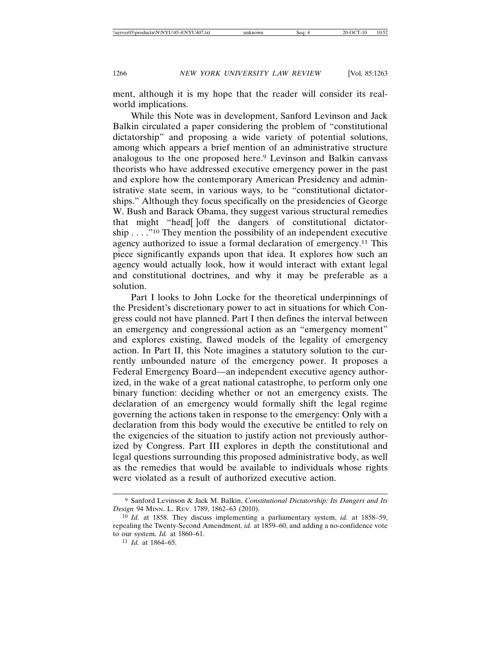ment, although it is my hope that the reader will consider its realworld implications.

While this Note was in development, Sanford Levinson and Jack Balkin circulated a paper considering the problem of "constitutional dictatorship" and proposing a wide variety of potential solutions, among which appears a brief mention of an administrative structure analogous to the one proposed here.<sup>9</sup> Levinson and Balkin canvass theorists who have addressed executive emergency power in the past and explore how the contemporary American Presidency and administrative state seem, in various ways, to be "constitutional dictatorships." Although they focus specifically on the presidencies of George W. Bush and Barack Obama, they suggest various structural remedies that might "head[ ]off the dangers of constitutional dictatorship . . . ."10 They mention the possibility of an independent executive agency authorized to issue a formal declaration of emergency.<sup>11</sup> This piece significantly expands upon that idea. It explores how such an agency would actually look, how it would interact with extant legal and constitutional doctrines, and why it may be preferable as a solution.

Part I looks to John Locke for the theoretical underpinnings of the President's discretionary power to act in situations for which Congress could not have planned. Part I then defines the interval between an emergency and congressional action as an "emergency moment" and explores existing, flawed models of the legality of emergency action. In Part II, this Note imagines a statutory solution to the currently unbounded nature of the emergency power. It proposes a Federal Emergency Board—an independent executive agency authorized, in the wake of a great national catastrophe, to perform only one binary function: deciding whether or not an emergency exists. The declaration of an emergency would formally shift the legal regime governing the actions taken in response to the emergency: Only with a declaration from this body would the executive be entitled to rely on the exigencies of the situation to justify action not previously authorized by Congress. Part III explores in depth the constitutional and legal questions surrounding this proposed administrative body, as well as the remedies that would be available to individuals whose rights were violated as a result of authorized executive action.

<sup>9</sup> Sanford Levinson & Jack M. Balkin, *Constitutional Dictatorship: Its Dangers and Its Design* 94 MINN. L. REV. 1789, 1862–63 (2010).

<sup>10</sup> *Id.* at 1858. They discuss implementing a parliamentary system, *id.* at 1858–59, repealing the Twenty-Second Amendment, *id.* at 1859–60, and adding a no-confidence vote to our system. *Id.* at 1860–61.

<sup>11</sup> *Id.* at 1864–65.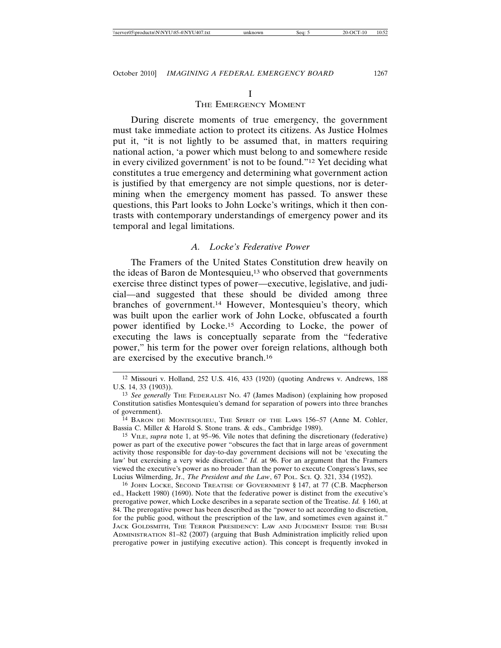## THE EMERGENCY MOMENT

During discrete moments of true emergency, the government must take immediate action to protect its citizens. As Justice Holmes put it, "it is not lightly to be assumed that, in matters requiring national action, 'a power which must belong to and somewhere reside in every civilized government' is not to be found."12 Yet deciding what constitutes a true emergency and determining what government action is justified by that emergency are not simple questions, nor is determining when the emergency moment has passed. To answer these questions, this Part looks to John Locke's writings, which it then contrasts with contemporary understandings of emergency power and its temporal and legal limitations.

#### *A. Locke's Federative Power*

The Framers of the United States Constitution drew heavily on the ideas of Baron de Montesquieu,13 who observed that governments exercise three distinct types of power—executive, legislative, and judicial—and suggested that these should be divided among three branches of government.14 However, Montesquieu's theory, which was built upon the earlier work of John Locke, obfuscated a fourth power identified by Locke.15 According to Locke, the power of executing the laws is conceptually separate from the "federative power," his term for the power over foreign relations, although both are exercised by the executive branch.<sup>16</sup>

15 VILE, *supra* note 1, at 95–96. Vile notes that defining the discretionary (federative) power as part of the executive power "obscures the fact that in large areas of government activity those responsible for day-to-day government decisions will not be 'executing the law' but exercising a very wide discretion." *Id.* at 96. For an argument that the Framers viewed the executive's power as no broader than the power to execute Congress's laws, see Lucius Wilmerding, Jr., *The President and the Law*, 67 POL. SCI. Q. 321, 334 (1952).

16 JOHN LOCKE, SECOND TREATISE OF GOVERNMENT § 147, at 77 (C.B. Macpherson ed., Hackett 1980) (1690). Note that the federative power is distinct from the executive's prerogative power, which Locke describes in a separate section of the Treatise. *Id.* § 160, at 84. The prerogative power has been described as the "power to act according to discretion, for the public good, without the prescription of the law, and sometimes even against it." JACK GOLDSMITH, THE TERROR PRESIDENCY: LAW AND JUDGMENT INSIDE THE BUSH ADMINISTRATION 81–82 (2007) (arguing that Bush Administration implicitly relied upon prerogative power in justifying executive action). This concept is frequently invoked in

<sup>12</sup> Missouri v. Holland, 252 U.S. 416, 433 (1920) (quoting Andrews v. Andrews, 188 U.S. 14, 33 (1903)).

<sup>&</sup>lt;sup>13</sup> See generally THE FEDERALIST No. 47 (James Madison) (explaining how proposed Constitution satisfies Montesquieu's demand for separation of powers into three branches of government).

<sup>14</sup> BARON DE MONTESQUIEU, THE SPIRIT OF THE LAWS 156–57 (Anne M. Cohler, Bassia C. Miller & Harold S. Stone trans. & eds., Cambridge 1989).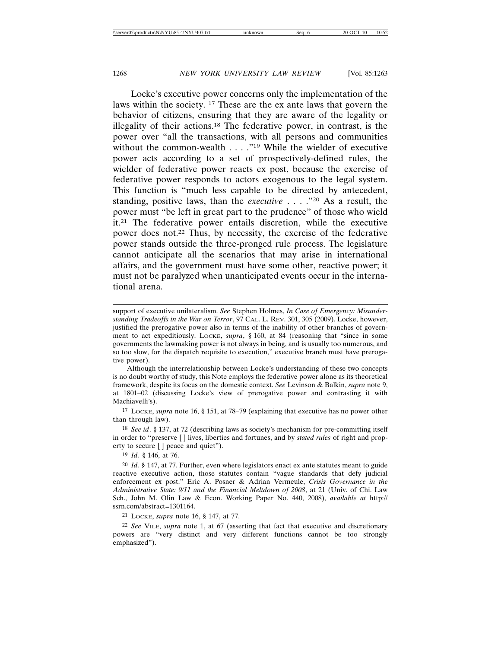Locke's executive power concerns only the implementation of the laws within the society. 17 These are the ex ante laws that govern the behavior of citizens, ensuring that they are aware of the legality or illegality of their actions.18 The federative power, in contrast, is the power over "all the transactions, with all persons and communities without the common-wealth  $\ldots$  ."<sup>19</sup> While the wielder of executive power acts according to a set of prospectively-defined rules, the wielder of federative power reacts ex post, because the exercise of federative power responds to actors exogenous to the legal system. This function is "much less capable to be directed by antecedent, standing, positive laws, than the *executive* . . . ."20 As a result, the power must "be left in great part to the prudence" of those who wield it.21 The federative power entails discretion, while the executive power does not.22 Thus, by necessity, the exercise of the federative power stands outside the three-pronged rule process. The legislature cannot anticipate all the scenarios that may arise in international affairs, and the government must have some other, reactive power; it must not be paralyzed when unanticipated events occur in the international arena.

Although the interrelationship between Locke's understanding of these two concepts is no doubt worthy of study, this Note employs the federative power alone as its theoretical framework, despite its focus on the domestic context. *See* Levinson & Balkin, *supra* note 9, at 1801–02 (discussing Locke's view of prerogative power and contrasting it with Machiavelli's).

17 LOCKE, *supra* note 16, § 151, at 78–79 (explaining that executive has no power other than through law).

18 *See id*. § 137, at 72 (describing laws as society's mechanism for pre-committing itself in order to "preserve [ ] lives, liberties and fortunes, and by *stated rules* of right and property to secure [ ] peace and quiet").

19 *Id*. § 146, at 76.

20 *Id*. § 147, at 77. Further, even where legislators enact ex ante statutes meant to guide reactive executive action, those statutes contain "vague standards that defy judicial enforcement ex post." Eric A. Posner & Adrian Vermeule, *Crisis Governance in the Administrative State: 9/11 and the Financial Meltdown of 2008*, at 21 (Univ. of Chi. Law Sch., John M. Olin Law & Econ. Working Paper No. 440, 2008), *available at* http:// ssrn.com/abstract=1301164.

21 LOCKE, *supra* note 16, § 147, at 77.

22 *See* VILE, *supra* note 1, at 67 (asserting that fact that executive and discretionary powers are "very distinct and very different functions cannot be too strongly emphasized").

support of executive unilateralism. *See* Stephen Holmes, *In Case of Emergency: Misunderstanding Tradeoffs in the War on Terror*, 97 CAL. L. REV. 301, 305 (2009). Locke, however, justified the prerogative power also in terms of the inability of other branches of government to act expeditiously. LOCKE, *supra*, § 160, at 84 (reasoning that "since in some governments the lawmaking power is not always in being, and is usually too numerous, and so too slow, for the dispatch requisite to execution," executive branch must have prerogative power).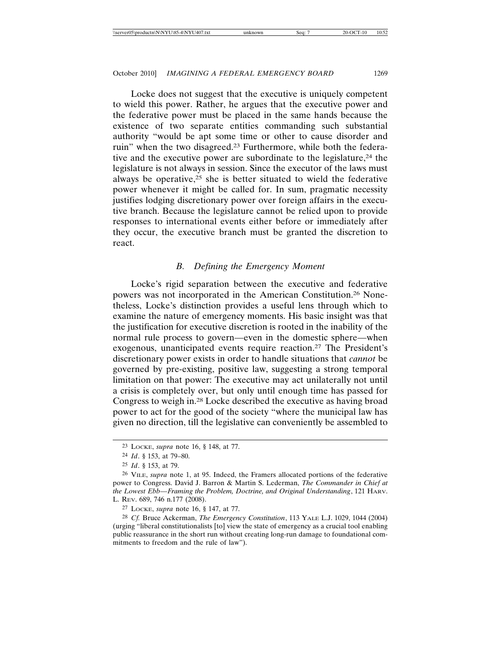Locke does not suggest that the executive is uniquely competent to wield this power. Rather, he argues that the executive power and the federative power must be placed in the same hands because the existence of two separate entities commanding such substantial authority "would be apt some time or other to cause disorder and ruin" when the two disagreed.<sup>23</sup> Furthermore, while both the federative and the executive power are subordinate to the legislature,<sup>24</sup> the legislature is not always in session. Since the executor of the laws must always be operative,<sup> $25$ </sup> she is better situated to wield the federative power whenever it might be called for. In sum, pragmatic necessity justifies lodging discretionary power over foreign affairs in the executive branch. Because the legislature cannot be relied upon to provide responses to international events either before or immediately after they occur, the executive branch must be granted the discretion to react.

## *B. Defining the Emergency Moment*

Locke's rigid separation between the executive and federative powers was not incorporated in the American Constitution.26 Nonetheless, Locke's distinction provides a useful lens through which to examine the nature of emergency moments. His basic insight was that the justification for executive discretion is rooted in the inability of the normal rule process to govern—even in the domestic sphere—when exogenous, unanticipated events require reaction.27 The President's discretionary power exists in order to handle situations that *cannot* be governed by pre-existing, positive law, suggesting a strong temporal limitation on that power: The executive may act unilaterally not until a crisis is completely over, but only until enough time has passed for Congress to weigh in.28 Locke described the executive as having broad power to act for the good of the society "where the municipal law has given no direction, till the legislative can conveniently be assembled to

27 LOCKE, *supra* note 16, § 147, at 77.

28 *Cf.* Bruce Ackerman, *The Emergency Constitution*, 113 YALE L.J. 1029, 1044 (2004) (urging "liberal constitutionalists [to] view the state of emergency as a crucial tool enabling public reassurance in the short run without creating long-run damage to foundational commitments to freedom and the rule of law").

<sup>23</sup> LOCKE, *supra* note 16, § 148, at 77.

<sup>24</sup> *Id*. § 153, at 79–80.

<sup>25</sup> *Id*. § 153, at 79.

<sup>26</sup> VILE, *supra* note 1, at 95. Indeed, the Framers allocated portions of the federative power to Congress. David J. Barron & Martin S. Lederman, *The Commander in Chief at the Lowest Ebb—Framing the Problem, Doctrine, and Original Understanding*, 121 HARV. L. REV. 689, 746 n.177 (2008).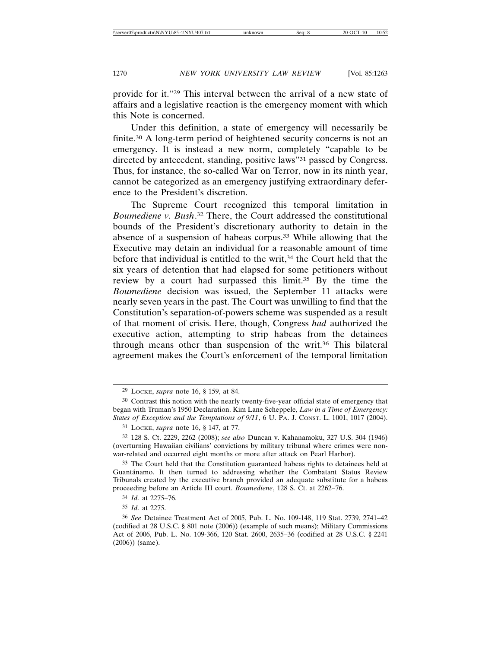provide for it."29 This interval between the arrival of a new state of affairs and a legislative reaction is the emergency moment with which this Note is concerned.

Under this definition, a state of emergency will necessarily be finite.30 A long-term period of heightened security concerns is not an emergency. It is instead a new norm, completely "capable to be directed by antecedent, standing, positive laws"31 passed by Congress. Thus, for instance, the so-called War on Terror, now in its ninth year, cannot be categorized as an emergency justifying extraordinary deference to the President's discretion.

The Supreme Court recognized this temporal limitation in *Boumediene v. Bush*. 32 There, the Court addressed the constitutional bounds of the President's discretionary authority to detain in the absence of a suspension of habeas corpus.33 While allowing that the Executive may detain an individual for a reasonable amount of time before that individual is entitled to the writ,<sup>34</sup> the Court held that the six years of detention that had elapsed for some petitioners without review by a court had surpassed this limit.<sup>35</sup> By the time the *Boumediene* decision was issued, the September 11 attacks were nearly seven years in the past. The Court was unwilling to find that the Constitution's separation-of-powers scheme was suspended as a result of that moment of crisis. Here, though, Congress *had* authorized the executive action, attempting to strip habeas from the detainees through means other than suspension of the writ.36 This bilateral agreement makes the Court's enforcement of the temporal limitation

<sup>29</sup> LOCKE, *supra* note 16, § 159, at 84.

<sup>30</sup> Contrast this notion with the nearly twenty-five-year official state of emergency that began with Truman's 1950 Declaration. Kim Lane Scheppele, *Law in a Time of Emergency: States of Exception and the Temptations of 9/11*, 6 U. PA. J. CONST. L. 1001, 1017 (2004).

<sup>31</sup> LOCKE, *supra* note 16, § 147, at 77.

<sup>32</sup> 128 S. Ct. 2229, 2262 (2008); *see also* Duncan v. Kahanamoku, 327 U.S. 304 (1946) (overturning Hawaiian civilians' convictions by military tribunal where crimes were nonwar-related and occurred eight months or more after attack on Pearl Harbor).

<sup>33</sup> The Court held that the Constitution guaranteed habeas rights to detainees held at Guantánamo. It then turned to addressing whether the Combatant Status Review Tribunals created by the executive branch provided an adequate substitute for a habeas proceeding before an Article III court. *Boumediene*, 128 S. Ct. at 2262–76.

<sup>34</sup> *Id*. at 2275–76.

<sup>35</sup> *Id*. at 2275.

<sup>36</sup> *See* Detainee Treatment Act of 2005, Pub. L. No. 109-148, 119 Stat. 2739, 2741–42 (codified at 28 U.S.C. § 801 note (2006)) (example of such means); Military Commissions Act of 2006, Pub. L. No. 109-366, 120 Stat. 2600, 2635–36 (codified at 28 U.S.C. § 2241 (2006)) (same).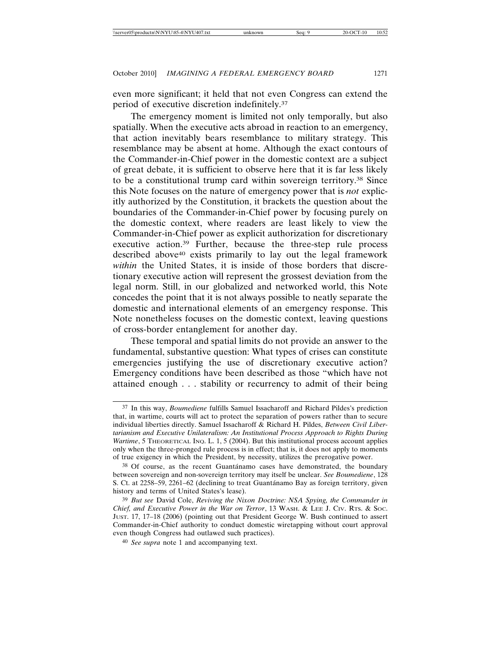even more significant; it held that not even Congress can extend the period of executive discretion indefinitely.37

The emergency moment is limited not only temporally, but also spatially. When the executive acts abroad in reaction to an emergency, that action inevitably bears resemblance to military strategy. This resemblance may be absent at home. Although the exact contours of the Commander-in-Chief power in the domestic context are a subject of great debate, it is sufficient to observe here that it is far less likely to be a constitutional trump card within sovereign territory.38 Since this Note focuses on the nature of emergency power that is *not* explicitly authorized by the Constitution, it brackets the question about the boundaries of the Commander-in-Chief power by focusing purely on the domestic context, where readers are least likely to view the Commander-in-Chief power as explicit authorization for discretionary executive action.39 Further, because the three-step rule process described above<sup>40</sup> exists primarily to lay out the legal framework *within* the United States, it is inside of those borders that discretionary executive action will represent the grossest deviation from the legal norm. Still, in our globalized and networked world, this Note concedes the point that it is not always possible to neatly separate the domestic and international elements of an emergency response. This Note nonetheless focuses on the domestic context, leaving questions of cross-border entanglement for another day.

These temporal and spatial limits do not provide an answer to the fundamental, substantive question: What types of crises can constitute emergencies justifying the use of discretionary executive action? Emergency conditions have been described as those "which have not attained enough . . . stability or recurrency to admit of their being

<sup>37</sup> In this way, *Boumediene* fulfills Samuel Issacharoff and Richard Pildes's prediction that, in wartime, courts will act to protect the separation of powers rather than to secure individual liberties directly. Samuel Issacharoff & Richard H. Pildes, *Between Civil Libertarianism and Executive Unilateralism: An Institutional Process Approach to Rights During Wartime*, 5 THEORETICAL INQ. L. 1, 5 (2004). But this institutional process account applies only when the three-pronged rule process is in effect; that is, it does not apply to moments of true exigency in which the President, by necessity, utilizes the prerogative power.

 $38$  Of course, as the recent Guantánamo cases have demonstrated, the boundary between sovereign and non-sovereign territory may itself be unclear. *See Boumediene*, 128 S. Ct. at 2258–59, 2261–62 (declining to treat Guantánamo Bay as foreign territory, given history and terms of United States's lease).

<sup>39</sup> *But see* David Cole, *Reviving the Nixon Doctrine: NSA Spying, the Commander in Chief, and Executive Power in the War on Terror*, 13 WASH. & LEE J. CIV. RTS. & SOC. JUST. 17, 17–18 (2006) (pointing out that President George W. Bush continued to assert Commander-in-Chief authority to conduct domestic wiretapping without court approval even though Congress had outlawed such practices).

<sup>40</sup> *See supra* note 1 and accompanying text.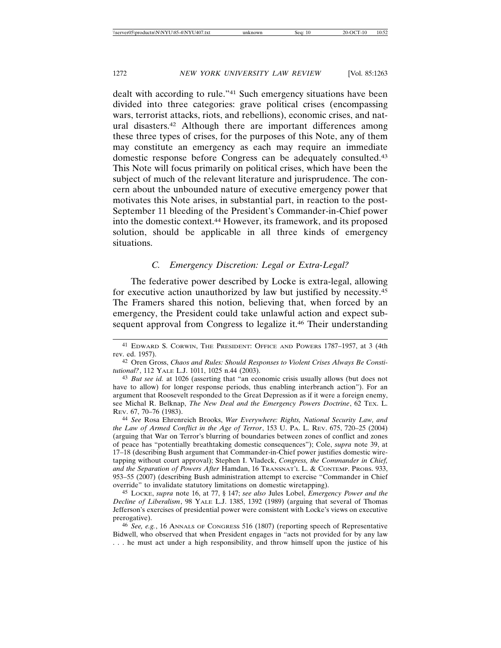dealt with according to rule."41 Such emergency situations have been divided into three categories: grave political crises (encompassing wars, terrorist attacks, riots, and rebellions), economic crises, and natural disasters.42 Although there are important differences among these three types of crises, for the purposes of this Note, any of them may constitute an emergency as each may require an immediate domestic response before Congress can be adequately consulted.43 This Note will focus primarily on political crises, which have been the subject of much of the relevant literature and jurisprudence. The concern about the unbounded nature of executive emergency power that motivates this Note arises, in substantial part, in reaction to the post-September 11 bleeding of the President's Commander-in-Chief power into the domestic context.44 However, its framework, and its proposed solution, should be applicable in all three kinds of emergency situations.

# *C. Emergency Discretion: Legal or Extra-Legal?*

The federative power described by Locke is extra-legal, allowing for executive action unauthorized by law but justified by necessity.45 The Framers shared this notion, believing that, when forced by an emergency, the President could take unlawful action and expect subsequent approval from Congress to legalize it.<sup>46</sup> Their understanding

44 *See* Rosa Ehrenreich Brooks, *War Everywhere: Rights, National Security Law, and the Law of Armed Conflict in the Age of Terror*, 153 U. PA. L. REV. 675, 720–25 (2004) (arguing that War on Terror's blurring of boundaries between zones of conflict and zones of peace has "potentially breathtaking domestic consequences"); Cole, *supra* note 39, at 17–18 (describing Bush argument that Commander-in-Chief power justifies domestic wiretapping without court approval); Stephen I. Vladeck, *Congress, the Commander in Chief, and the Separation of Powers After* Hamdan, 16 TRANSNAT'L L. & CONTEMP. PROBS. 933, 953–55 (2007) (describing Bush administration attempt to exercise "Commander in Chief override" to invalidate statutory limitations on domestic wiretapping).

45 LOCKE, *supra* note 16, at 77, § 147; *see also* Jules Lobel, *Emergency Power and the Decline of Liberalism*, 98 YALE L.J. 1385, 1392 (1989) (arguing that several of Thomas Jefferson's exercises of presidential power were consistent with Locke's views on executive prerogative).

46 *See, e.g.*, 16 ANNALS OF CONGRESS 516 (1807) (reporting speech of Representative Bidwell, who observed that when President engages in "acts not provided for by any law . . . he must act under a high responsibility, and throw himself upon the justice of his

<sup>41</sup> EDWARD S. CORWIN, THE PRESIDENT: OFFICE AND POWERS 1787–1957, at 3 (4th rev. ed. 1957).

<sup>42</sup> Oren Gross, *Chaos and Rules: Should Responses to Violent Crises Always Be Constitutional?*, 112 YALE L.J. 1011, 1025 n.44 (2003).

<sup>43</sup> *But see id.* at 1026 (asserting that "an economic crisis usually allows (but does not have to allow) for longer response periods, thus enabling interbranch action"). For an argument that Roosevelt responded to the Great Depression as if it were a foreign enemy, see Michal R. Belknap, *The New Deal and the Emergency Powers Doctrine*, 62 TEX. L. REV. 67, 70–76 (1983).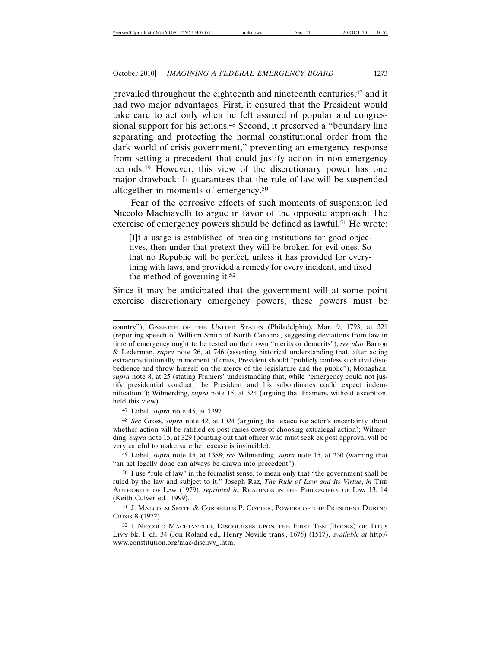prevailed throughout the eighteenth and nineteenth centuries,47 and it had two major advantages. First, it ensured that the President would take care to act only when he felt assured of popular and congressional support for his actions.<sup>48</sup> Second, it preserved a "boundary line separating and protecting the normal constitutional order from the dark world of crisis government," preventing an emergency response from setting a precedent that could justify action in non-emergency periods.49 However, this view of the discretionary power has one major drawback: It guarantees that the rule of law will be suspended altogether in moments of emergency.50

Fear of the corrosive effects of such moments of suspension led Niccolo Machiavelli to argue in favor of the opposite approach: The exercise of emergency powers should be defined as lawful.<sup>51</sup> He wrote:

[I]f a usage is established of breaking institutions for good objectives, then under that pretext they will be broken for evil ones. So that no Republic will be perfect, unless it has provided for everything with laws, and provided a remedy for every incident, and fixed the method of governing it.52

Since it may be anticipated that the government will at some point exercise discretionary emergency powers, these powers must be

47 Lobel, *supra* note 45, at 1397.

48 *See* Gross, *supra* note 42, at 1024 (arguing that executive actor's uncertainty about whether action will be ratified ex post raises costs of choosing extralegal action); Wilmerding, *supra* note 15, at 329 (pointing out that officer who must seek ex post approval will be very careful to make sure her excuse is invincible).

49 Lobel, *supra* note 45, at 1388; *see* Wilmerding, *supra* note 15, at 330 (warning that "an act legally done can always be drawn into precedent").

50 I use "rule of law" in the formalist sense, to mean only that "the government shall be ruled by the law and subject to it." Joseph Raz, *The Rule of Law and Its Virtue*, *in* THE AUTHORITY OF LAW (1979), *reprinted in* READINGS IN THE PHILOSOPHY OF LAW 13, 14 (Keith Culver ed., 1999).

51 J. MALCOLM SMITH & CORNELIUS P. COTTER, POWERS OF THE PRESIDENT DURING CRISIS 8 (1972).

52 1 NICCOLO MACHIAVELLI, DISCOURSES UPON THE FIRST TEN (BOOKS) OF TITUS LIVY bk. I, ch. 34 (Jon Roland ed., Henry Neville trans., 1675) (1517), *available at* http:// www.constitution.org/mac/disclivy\_.htm.

country"); GAZETTE OF THE UNITED STATES (Philadelphia), Mar. 9, 1793, at 321 (reporting speech of William Smith of North Carolina, suggesting deviations from law in time of emergency ought to be tested on their own "merits or demerits"); *see also* Barron & Lederman, *supra* note 26, at 746 (asserting historical understanding that, after acting extraconstitutionally in moment of crisis, President should "publicly confess such civil disobedience and throw himself on the mercy of the legislature and the public"); Monaghan, *supra* note 8, at 25 (stating Framers' understanding that, while "emergency could not justify presidential conduct, the President and his subordinates could expect indemnification"); Wilmerding, *supra* note 15, at 324 (arguing that Framers, without exception, held this view).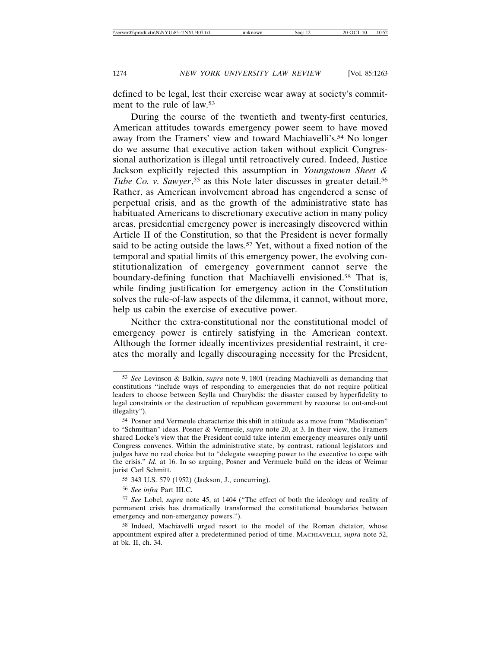defined to be legal, lest their exercise wear away at society's commitment to the rule of law.<sup>53</sup>

During the course of the twentieth and twenty-first centuries, American attitudes towards emergency power seem to have moved away from the Framers' view and toward Machiavelli's.54 No longer do we assume that executive action taken without explicit Congressional authorization is illegal until retroactively cured. Indeed, Justice Jackson explicitly rejected this assumption in *Youngstown Sheet &* Tube Co. v. Sawyer,<sup>55</sup> as this Note later discusses in greater detail.<sup>56</sup> Rather, as American involvement abroad has engendered a sense of perpetual crisis, and as the growth of the administrative state has habituated Americans to discretionary executive action in many policy areas, presidential emergency power is increasingly discovered within Article II of the Constitution, so that the President is never formally said to be acting outside the laws.<sup>57</sup> Yet, without a fixed notion of the temporal and spatial limits of this emergency power, the evolving constitutionalization of emergency government cannot serve the boundary-defining function that Machiavelli envisioned.58 That is, while finding justification for emergency action in the Constitution solves the rule-of-law aspects of the dilemma, it cannot, without more, help us cabin the exercise of executive power.

Neither the extra-constitutional nor the constitutional model of emergency power is entirely satisfying in the American context. Although the former ideally incentivizes presidential restraint, it creates the morally and legally discouraging necessity for the President,

<sup>53</sup> *See* Levinson & Balkin, *supra* note 9, 1801 (reading Machiavelli as demanding that constitutions "include ways of responding to emergencies that do not require political leaders to choose between Scylla and Charybdis: the disaster caused by hyperfidelity to legal constraints or the destruction of republican government by recourse to out-and-out illegality").

<sup>54</sup> Posner and Vermeule characterize this shift in attitude as a move from "Madisonian" to "Schmittian" ideas. Posner & Vermeule, *supra* note 20, at 3. In their view, the Framers shared Locke's view that the President could take interim emergency measures only until Congress convenes. Within the administrative state, by contrast, rational legislators and judges have no real choice but to "delegate sweeping power to the executive to cope with the crisis." *Id.* at 16. In so arguing, Posner and Vermuele build on the ideas of Weimar jurist Carl Schmitt.

<sup>55</sup> 343 U.S. 579 (1952) (Jackson, J., concurring).

<sup>56</sup> *See infra* Part III.C.

<sup>57</sup> *See* Lobel, *supra* note 45, at 1404 ("The effect of both the ideology and reality of permanent crisis has dramatically transformed the constitutional boundaries between emergency and non-emergency powers.").

<sup>58</sup> Indeed, Machiavelli urged resort to the model of the Roman dictator, whose appointment expired after a predetermined period of time. MACHIAVELLI, *supra* note 52, at bk. II, ch. 34.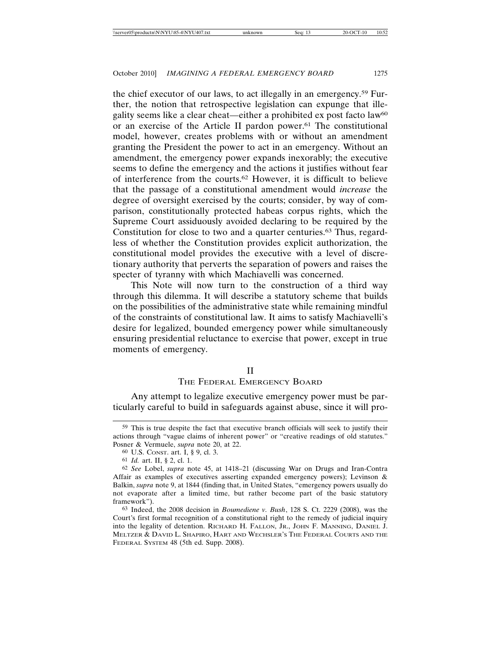the chief executor of our laws, to act illegally in an emergency.59 Further, the notion that retrospective legislation can expunge that illegality seems like a clear cheat—either a prohibited ex post facto law60 or an exercise of the Article II pardon power.<sup>61</sup> The constitutional model, however, creates problems with or without an amendment granting the President the power to act in an emergency. Without an amendment, the emergency power expands inexorably; the executive seems to define the emergency and the actions it justifies without fear of interference from the courts.62 However, it is difficult to believe that the passage of a constitutional amendment would *increase* the degree of oversight exercised by the courts; consider, by way of comparison, constitutionally protected habeas corpus rights, which the Supreme Court assiduously avoided declaring to be required by the Constitution for close to two and a quarter centuries.63 Thus, regardless of whether the Constitution provides explicit authorization, the constitutional model provides the executive with a level of discretionary authority that perverts the separation of powers and raises the specter of tyranny with which Machiavelli was concerned.

This Note will now turn to the construction of a third way through this dilemma. It will describe a statutory scheme that builds on the possibilities of the administrative state while remaining mindful of the constraints of constitutional law. It aims to satisfy Machiavelli's desire for legalized, bounded emergency power while simultaneously ensuring presidential reluctance to exercise that power, except in true moments of emergency.

#### II

## THE FEDERAL EMERGENCY BOARD

Any attempt to legalize executive emergency power must be particularly careful to build in safeguards against abuse, since it will pro-

63 Indeed, the 2008 decision in *Boumediene v. Bush*, 128 S. Ct. 2229 (2008), was the Court's first formal recognition of a constitutional right to the remedy of judicial inquiry into the legality of detention. RICHARD H. FALLON, JR., JOHN F. MANNING, DANIEL J. MELTZER & DAVID L. SHAPIRO, HART AND WECHSLER'S THE FEDERAL COURTS AND THE FEDERAL SYSTEM 48 (5th ed. Supp. 2008).

<sup>59</sup> This is true despite the fact that executive branch officials will seek to justify their actions through "vague claims of inherent power" or "creative readings of old statutes." Posner & Vermuele, *supra* note 20, at 22.

<sup>60</sup> U.S. CONST. art. I, § 9, cl. 3.

<sup>61</sup> *Id.* art. II, § 2, cl. 1.

<sup>62</sup> *See* Lobel, *supra* note 45, at 1418–21 (discussing War on Drugs and Iran-Contra Affair as examples of executives asserting expanded emergency powers); Levinson & Balkin, *supra* note 9, at 1844 (finding that, in United States, "emergency powers usually do not evaporate after a limited time, but rather become part of the basic statutory framework").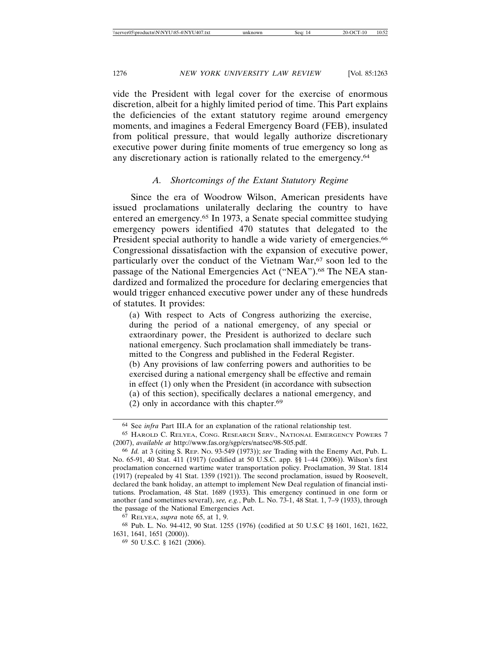vide the President with legal cover for the exercise of enormous discretion, albeit for a highly limited period of time. This Part explains the deficiencies of the extant statutory regime around emergency moments, and imagines a Federal Emergency Board (FEB), insulated from political pressure, that would legally authorize discretionary executive power during finite moments of true emergency so long as any discretionary action is rationally related to the emergency.64

## *A. Shortcomings of the Extant Statutory Regime*

Since the era of Woodrow Wilson, American presidents have issued proclamations unilaterally declaring the country to have entered an emergency.65 In 1973, a Senate special committee studying emergency powers identified 470 statutes that delegated to the President special authority to handle a wide variety of emergencies.<sup>66</sup> Congressional dissatisfaction with the expansion of executive power, particularly over the conduct of the Vietnam War,<sup>67</sup> soon led to the passage of the National Emergencies Act ("NEA").<sup>68</sup> The NEA standardized and formalized the procedure for declaring emergencies that would trigger enhanced executive power under any of these hundreds of statutes. It provides:

(a) With respect to Acts of Congress authorizing the exercise, during the period of a national emergency, of any special or extraordinary power, the President is authorized to declare such national emergency. Such proclamation shall immediately be transmitted to the Congress and published in the Federal Register. (b) Any provisions of law conferring powers and authorities to be exercised during a national emergency shall be effective and remain in effect (1) only when the President (in accordance with subsection (a) of this section), specifically declares a national emergency, and

(2) only in accordance with this chapter. $69$ 

<sup>64</sup> See *infra* Part III.A for an explanation of the rational relationship test.

<sup>65</sup> HAROLD C. RELYEA, CONG. RESEARCH SERV., NATIONAL EMERGENCY POWERS 7 (2007), *available at* http://www.fas.org/sgp/crs/natsec/98-505.pdf.

<sup>66</sup> *Id.* at 3 (citing S. REP. NO. 93-549 (1973)); *see* Trading with the Enemy Act, Pub. L. No. 65-91, 40 Stat. 411 (1917) (codified at 50 U.S.C. app. §§ 1–44 (2006)). Wilson's first proclamation concerned wartime water transportation policy. Proclamation, 39 Stat. 1814 (1917) (repealed by 41 Stat. 1359 (1921)). The second proclamation, issued by Roosevelt, declared the bank holiday, an attempt to implement New Deal regulation of financial institutions. Proclamation, 48 Stat. 1689 (1933). This emergency continued in one form or another (and sometimes several), *see, e.g.*, Pub. L. No. 73-1, 48 Stat. 1, 7–9 (1933), through the passage of the National Emergencies Act.

<sup>67</sup> RELYEA, *supra* note 65, at 1, 9.

<sup>68</sup> Pub. L. No. 94-412, 90 Stat. 1255 (1976) (codified at 50 U.S.C §§ 1601, 1621, 1622, 1631, 1641, 1651 (2000)).

<sup>69</sup> 50 U.S.C. § 1621 (2006).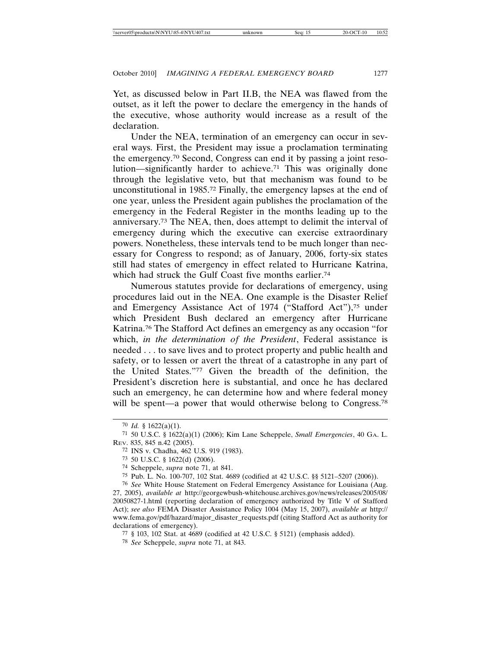Yet, as discussed below in Part II.B, the NEA was flawed from the outset, as it left the power to declare the emergency in the hands of the executive, whose authority would increase as a result of the declaration.

Under the NEA, termination of an emergency can occur in several ways. First, the President may issue a proclamation terminating the emergency.70 Second, Congress can end it by passing a joint resolution—significantly harder to achieve.71 This was originally done through the legislative veto, but that mechanism was found to be unconstitutional in 1985.72 Finally, the emergency lapses at the end of one year, unless the President again publishes the proclamation of the emergency in the Federal Register in the months leading up to the anniversary.73 The NEA, then, does attempt to delimit the interval of emergency during which the executive can exercise extraordinary powers. Nonetheless, these intervals tend to be much longer than necessary for Congress to respond; as of January, 2006, forty-six states still had states of emergency in effect related to Hurricane Katrina, which had struck the Gulf Coast five months earlier.<sup>74</sup>

Numerous statutes provide for declarations of emergency, using procedures laid out in the NEA. One example is the Disaster Relief and Emergency Assistance Act of 1974 ("Stafford Act"),75 under which President Bush declared an emergency after Hurricane Katrina.76 The Stafford Act defines an emergency as any occasion "for which, *in the determination of the President*, Federal assistance is needed . . . to save lives and to protect property and public health and safety, or to lessen or avert the threat of a catastrophe in any part of the United States."77 Given the breadth of the definition, the President's discretion here is substantial, and once he has declared such an emergency, he can determine how and where federal money will be spent—a power that would otherwise belong to Congress.<sup>78</sup>

<sup>70</sup> *Id.* § 1622(a)(1).

<sup>71</sup> 50 U.S.C. § 1622(a)(1) (2006); Kim Lane Scheppele, *Small Emergencies*, 40 GA. L. REV. 835, 845 n.42 (2005).

<sup>72</sup> INS v. Chadha, 462 U.S. 919 (1983).

<sup>73</sup> 50 U.S.C. § 1622(d) (2006).

<sup>74</sup> Scheppele, *supra* note 71, at 841.

<sup>75</sup> Pub. L. No. 100-707, 102 Stat. 4689 (codified at 42 U.S.C. §§ 5121–5207 (2006)).

<sup>76</sup> *See* White House Statement on Federal Emergency Assistance for Louisiana (Aug. 27, 2005), *available at* http://georgewbush-whitehouse.archives.gov/news/releases/2005/08/ 20050827-1.html (reporting declaration of emergency authorized by Title V of Stafford Act); *see also* FEMA Disaster Assistance Policy 1004 (May 15, 2007), *available at* http:// www.fema.gov/pdf/hazard/major\_disaster\_requests.pdf (citing Stafford Act as authority for declarations of emergency).

<sup>77</sup> § 103, 102 Stat. at 4689 (codified at 42 U.S.C. § 5121) (emphasis added).

<sup>78</sup> *See* Scheppele, *supra* note 71, at 843.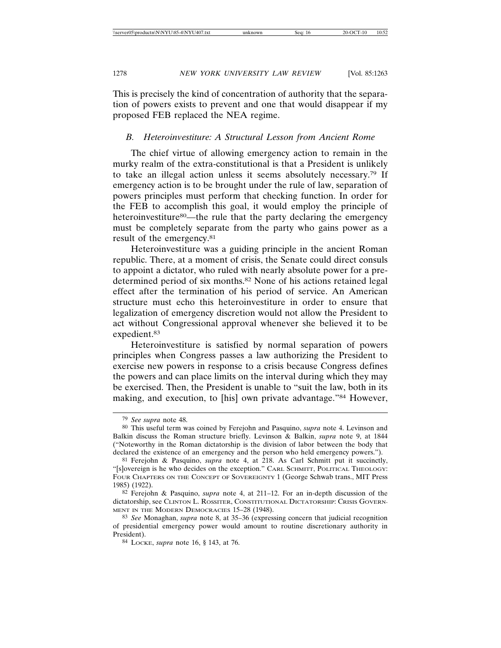This is precisely the kind of concentration of authority that the separation of powers exists to prevent and one that would disappear if my proposed FEB replaced the NEA regime.

#### *B. Heteroinvestiture: A Structural Lesson from Ancient Rome*

The chief virtue of allowing emergency action to remain in the murky realm of the extra-constitutional is that a President is unlikely to take an illegal action unless it seems absolutely necessary.79 If emergency action is to be brought under the rule of law, separation of powers principles must perform that checking function. In order for the FEB to accomplish this goal, it would employ the principle of heteroinvestiture<sup>80</sup>—the rule that the party declaring the emergency must be completely separate from the party who gains power as a result of the emergency.81

Heteroinvestiture was a guiding principle in the ancient Roman republic. There, at a moment of crisis, the Senate could direct consuls to appoint a dictator, who ruled with nearly absolute power for a predetermined period of six months.82 None of his actions retained legal effect after the termination of his period of service. An American structure must echo this heteroinvestiture in order to ensure that legalization of emergency discretion would not allow the President to act without Congressional approval whenever she believed it to be expedient.83

Heteroinvestiture is satisfied by normal separation of powers principles when Congress passes a law authorizing the President to exercise new powers in response to a crisis because Congress defines the powers and can place limits on the interval during which they may be exercised. Then, the President is unable to "suit the law, both in its making, and execution, to [his] own private advantage."84 However,

<sup>79</sup> *See supra* note 48.

<sup>80</sup> This useful term was coined by Ferejohn and Pasquino, *supra* note 4. Levinson and Balkin discuss the Roman structure briefly. Levinson & Balkin, *supra* note 9, at 1844 ("Noteworthy in the Roman dictatorship is the division of labor between the body that declared the existence of an emergency and the person who held emergency powers.").

<sup>81</sup> Ferejohn & Pasquino, *supra* note 4, at 218. As Carl Schmitt put it succinctly, "[s]overeign is he who decides on the exception." CARL SCHMITT, POLITICAL THEOLOGY: FOUR CHAPTERS ON THE CONCEPT OF SOVEREIGNTY 1 (George Schwab trans., MIT Press 1985) (1922).

<sup>82</sup> Ferejohn & Pasquino, *supra* note 4, at 211–12. For an in-depth discussion of the dictatorship, see CLINTON L. ROSSITER, CONSTITUTIONAL DICTATORSHIP: CRISIS GOVERN-MENT IN THE MODERN DEMOCRACIES 15-28 (1948).

<sup>83</sup> *See* Monaghan, *supra* note 8, at 35–36 (expressing concern that judicial recognition of presidential emergency power would amount to routine discretionary authority in President).

<sup>84</sup> LOCKE, *supra* note 16, § 143, at 76.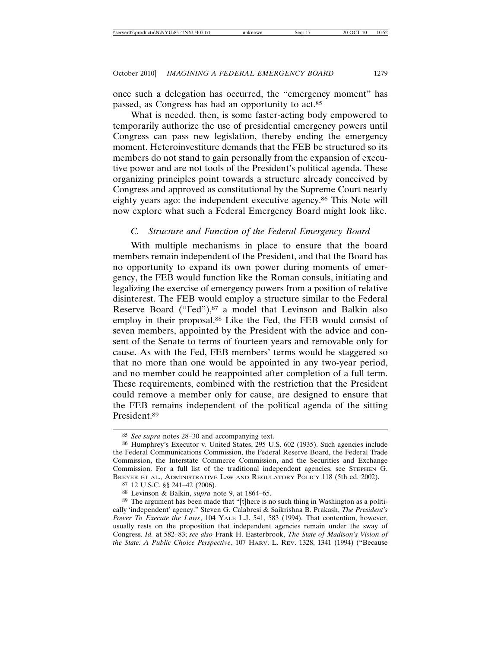once such a delegation has occurred, the "emergency moment" has passed, as Congress has had an opportunity to act.85

What is needed, then, is some faster-acting body empowered to temporarily authorize the use of presidential emergency powers until Congress can pass new legislation, thereby ending the emergency moment. Heteroinvestiture demands that the FEB be structured so its members do not stand to gain personally from the expansion of executive power and are not tools of the President's political agenda. These organizing principles point towards a structure already conceived by Congress and approved as constitutional by the Supreme Court nearly eighty years ago: the independent executive agency.<sup>86</sup> This Note will now explore what such a Federal Emergency Board might look like.

## *C. Structure and Function of the Federal Emergency Board*

With multiple mechanisms in place to ensure that the board members remain independent of the President, and that the Board has no opportunity to expand its own power during moments of emergency, the FEB would function like the Roman consuls, initiating and legalizing the exercise of emergency powers from a position of relative disinterest. The FEB would employ a structure similar to the Federal Reserve Board ("Fed"),<sup>87</sup> a model that Levinson and Balkin also employ in their proposal.<sup>88</sup> Like the Fed, the FEB would consist of seven members, appointed by the President with the advice and consent of the Senate to terms of fourteen years and removable only for cause. As with the Fed, FEB members' terms would be staggered so that no more than one would be appointed in any two-year period, and no member could be reappointed after completion of a full term. These requirements, combined with the restriction that the President could remove a member only for cause, are designed to ensure that the FEB remains independent of the political agenda of the sitting President.89

<sup>85</sup> *See supra* notes 28–30 and accompanying text.

<sup>86</sup> Humphrey's Executor v. United States, 295 U.S. 602 (1935). Such agencies include the Federal Communications Commission, the Federal Reserve Board, the Federal Trade Commission, the Interstate Commerce Commission, and the Securities and Exchange Commission. For a full list of the traditional independent agencies, see STEPHEN G. BREYER ET AL., ADMINISTRATIVE LAW AND REGULATORY POLICY 118 (5th ed. 2002).

<sup>87</sup> 12 U.S.C. §§ 241–42 (2006).

<sup>88</sup> Levinson & Balkin, *supra* note 9, at 1864–65.

<sup>89</sup> The argument has been made that "[t]here is no such thing in Washington as a politically 'independent' agency." Steven G. Calabresi & Saikrishna B. Prakash, *The President's Power To Execute the Laws*, 104 YALE L.J. 541, 583 (1994). That contention, however, usually rests on the proposition that independent agencies remain under the sway of Congress. *Id.* at 582–83; *see also* Frank H. Easterbrook, *The State of Madison's Vision of the State: A Public Choice Perspective*, 107 HARV. L. REV. 1328, 1341 (1994) ("Because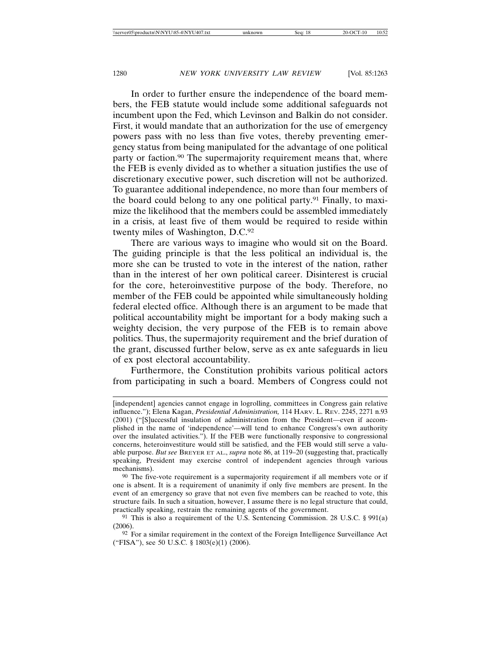In order to further ensure the independence of the board members, the FEB statute would include some additional safeguards not incumbent upon the Fed, which Levinson and Balkin do not consider. First, it would mandate that an authorization for the use of emergency powers pass with no less than five votes, thereby preventing emergency status from being manipulated for the advantage of one political party or faction.<sup>90</sup> The supermajority requirement means that, where the FEB is evenly divided as to whether a situation justifies the use of discretionary executive power, such discretion will not be authorized. To guarantee additional independence, no more than four members of the board could belong to any one political party.91 Finally, to maximize the likelihood that the members could be assembled immediately in a crisis, at least five of them would be required to reside within twenty miles of Washington, D.C.92

There are various ways to imagine who would sit on the Board. The guiding principle is that the less political an individual is, the more she can be trusted to vote in the interest of the nation, rather than in the interest of her own political career. Disinterest is crucial for the core, heteroinvestitive purpose of the body. Therefore, no member of the FEB could be appointed while simultaneously holding federal elected office. Although there is an argument to be made that political accountability might be important for a body making such a weighty decision, the very purpose of the FEB is to remain above politics. Thus, the supermajority requirement and the brief duration of the grant, discussed further below, serve as ex ante safeguards in lieu of ex post electoral accountability.

Furthermore, the Constitution prohibits various political actors from participating in such a board. Members of Congress could not

<sup>[</sup>independent] agencies cannot engage in logrolling, committees in Congress gain relative influence."); Elena Kagan, *Presidential Administration,* 114 HARV. L. REV. 2245, 2271 n.93 (2001) ("[S]uccessful insulation of administration from the President—even if accomplished in the name of 'independence'—will tend to enhance Congress's own authority over the insulated activities."). If the FEB were functionally responsive to congressional concerns, heteroinvestiture would still be satisfied, and the FEB would still serve a valuable purpose. *But see* BREYER ET AL., *supra* note 86, at 119–20 (suggesting that, practically speaking, President may exercise control of independent agencies through various mechanisms).

<sup>90</sup> The five-vote requirement is a supermajority requirement if all members vote or if one is absent. It is a requirement of unanimity if only five members are present. In the event of an emergency so grave that not even five members can be reached to vote, this structure fails. In such a situation, however, I assume there is no legal structure that could, practically speaking, restrain the remaining agents of the government.

<sup>91</sup> This is also a requirement of the U.S. Sentencing Commission. 28 U.S.C. § 991(a) (2006).

<sup>92</sup> For a similar requirement in the context of the Foreign Intelligence Surveillance Act ("FISA"), see 50 U.S.C. § 1803(e)(1) (2006).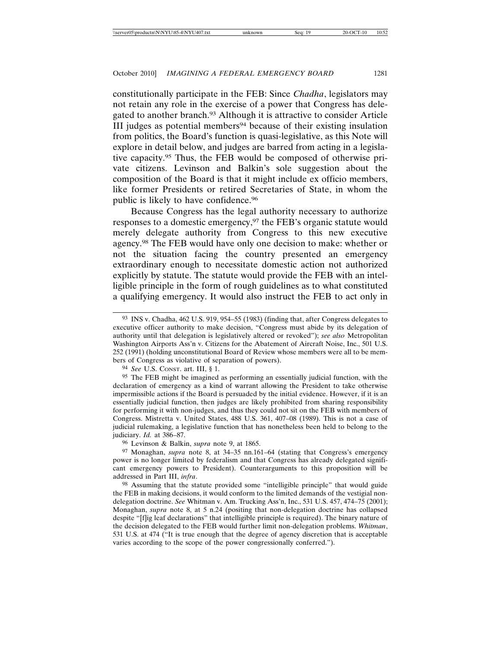constitutionally participate in the FEB: Since *Chadha*, legislators may not retain any role in the exercise of a power that Congress has delegated to another branch.<sup>93</sup> Although it is attractive to consider Article III judges as potential members<sup>94</sup> because of their existing insulation from politics, the Board's function is quasi-legislative, as this Note will explore in detail below, and judges are barred from acting in a legislative capacity.95 Thus, the FEB would be composed of otherwise private citizens. Levinson and Balkin's sole suggestion about the composition of the Board is that it might include ex officio members, like former Presidents or retired Secretaries of State, in whom the public is likely to have confidence.96

Because Congress has the legal authority necessary to authorize responses to a domestic emergency,<sup>97</sup> the FEB's organic statute would merely delegate authority from Congress to this new executive agency.98 The FEB would have only one decision to make: whether or not the situation facing the country presented an emergency extraordinary enough to necessitate domestic action not authorized explicitly by statute. The statute would provide the FEB with an intelligible principle in the form of rough guidelines as to what constituted a qualifying emergency. It would also instruct the FEB to act only in

94 *See* U.S. CONST. art. III, § 1.

95 The FEB might be imagined as performing an essentially judicial function, with the declaration of emergency as a kind of warrant allowing the President to take otherwise impermissible actions if the Board is persuaded by the initial evidence. However, if it is an essentially judicial function, then judges are likely prohibited from sharing responsibility for performing it with non-judges, and thus they could not sit on the FEB with members of Congress. Mistretta v. United States, 488 U.S. 361, 407–08 (1989). This is not a case of judicial rulemaking, a legislative function that has nonetheless been held to belong to the judiciary. *Id.* at 386–87.

96 Levinson & Balkin, *supra* note 9, at 1865.

97 Monaghan, *supra* note 8, at 34–35 nn.161–64 (stating that Congress's emergency power is no longer limited by federalism and that Congress has already delegated significant emergency powers to President). Counterarguments to this proposition will be addressed in Part III, *infra*.

98 Assuming that the statute provided some "intelligible principle" that would guide the FEB in making decisions, it would conform to the limited demands of the vestigial nondelegation doctrine. *See* Whitman v. Am. Trucking Ass'n, Inc., 531 U.S. 457, 474–75 (2001); Monaghan, *supra* note 8, at 5 n.24 (positing that non-delegation doctrine has collapsed despite "[f]ig leaf declarations" that intelligible principle is required). The binary nature of the decision delegated to the FEB would further limit non-delegation problems. *Whitman*, 531 U.S. at 474 ("It is true enough that the degree of agency discretion that is acceptable varies according to the scope of the power congressionally conferred.").

<sup>93</sup> INS v. Chadha, 462 U.S. 919, 954–55 (1983) (finding that, after Congress delegates to executive officer authority to make decision, "Congress must abide by its delegation of authority until that delegation is legislatively altered or revoked"); *see also* Metropolitan Washington Airports Ass'n v. Citizens for the Abatement of Aircraft Noise, Inc., 501 U.S. 252 (1991) (holding unconstitutional Board of Review whose members were all to be members of Congress as violative of separation of powers).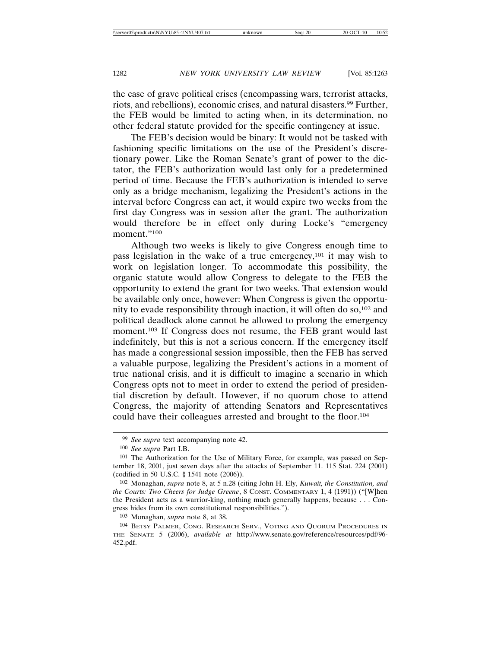the case of grave political crises (encompassing wars, terrorist attacks, riots, and rebellions), economic crises, and natural disasters.99 Further, the FEB would be limited to acting when, in its determination, no other federal statute provided for the specific contingency at issue.

The FEB's decision would be binary: It would not be tasked with fashioning specific limitations on the use of the President's discretionary power. Like the Roman Senate's grant of power to the dictator, the FEB's authorization would last only for a predetermined period of time. Because the FEB's authorization is intended to serve only as a bridge mechanism, legalizing the President's actions in the interval before Congress can act, it would expire two weeks from the first day Congress was in session after the grant. The authorization would therefore be in effect only during Locke's "emergency moment."100

Although two weeks is likely to give Congress enough time to pass legislation in the wake of a true emergency,101 it may wish to work on legislation longer. To accommodate this possibility, the organic statute would allow Congress to delegate to the FEB the opportunity to extend the grant for two weeks. That extension would be available only once, however: When Congress is given the opportunity to evade responsibility through inaction, it will often do so,  $102$  and political deadlock alone cannot be allowed to prolong the emergency moment.103 If Congress does not resume, the FEB grant would last indefinitely, but this is not a serious concern. If the emergency itself has made a congressional session impossible, then the FEB has served a valuable purpose, legalizing the President's actions in a moment of true national crisis, and it is difficult to imagine a scenario in which Congress opts not to meet in order to extend the period of presidential discretion by default. However, if no quorum chose to attend Congress, the majority of attending Senators and Representatives could have their colleagues arrested and brought to the floor.104

<sup>99</sup> *See supra* text accompanying note 42.

<sup>100</sup> *See supra* Part I.B.

<sup>101</sup> The Authorization for the Use of Military Force, for example, was passed on September 18, 2001, just seven days after the attacks of September 11. 115 Stat. 224 (2001) (codified in 50 U.S.C. § 1541 note (2006)).

<sup>102</sup> Monaghan, *supra* note 8, at 5 n.28 (citing John H. Ely, *Kuwait, the Constitution, and the Courts: Two Cheers for Judge Greene*, 8 CONST. COMMENTARY 1, 4 (1991)) ("[W]hen the President acts as a warrior-king, nothing much generally happens, because . . . Congress hides from its own constitutional responsibilities.").

<sup>103</sup> Monaghan, *supra* note 8, at 38.

<sup>104</sup> BETSY PALMER, CONG. RESEARCH SERV., VOTING AND QUORUM PROCEDURES IN THE SENATE 5 (2006), *available at* http://www.senate.gov/reference/resources/pdf/96- 452.pdf.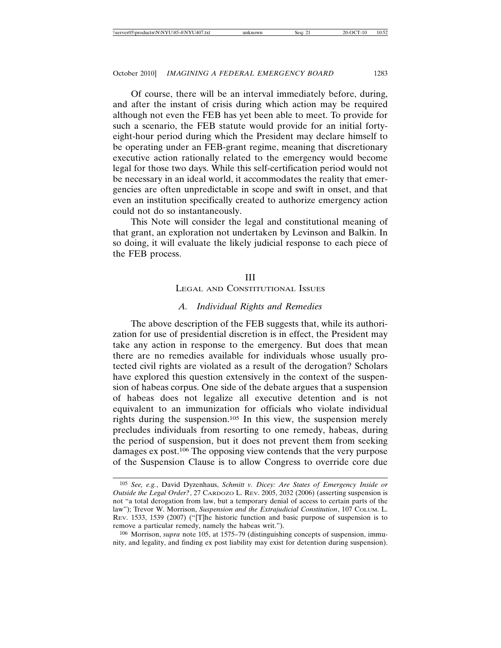Of course, there will be an interval immediately before, during, and after the instant of crisis during which action may be required although not even the FEB has yet been able to meet. To provide for such a scenario, the FEB statute would provide for an initial fortyeight-hour period during which the President may declare himself to be operating under an FEB-grant regime, meaning that discretionary executive action rationally related to the emergency would become legal for those two days. While this self-certification period would not be necessary in an ideal world, it accommodates the reality that emergencies are often unpredictable in scope and swift in onset, and that even an institution specifically created to authorize emergency action could not do so instantaneously.

This Note will consider the legal and constitutional meaning of that grant, an exploration not undertaken by Levinson and Balkin. In so doing, it will evaluate the likely judicial response to each piece of the FEB process.

#### III

# LEGAL AND CONSTITUTIONAL ISSUES

## *A. Individual Rights and Remedies*

The above description of the FEB suggests that, while its authorization for use of presidential discretion is in effect, the President may take any action in response to the emergency. But does that mean there are no remedies available for individuals whose usually protected civil rights are violated as a result of the derogation? Scholars have explored this question extensively in the context of the suspension of habeas corpus. One side of the debate argues that a suspension of habeas does not legalize all executive detention and is not equivalent to an immunization for officials who violate individual rights during the suspension.105 In this view, the suspension merely precludes individuals from resorting to one remedy, habeas, during the period of suspension, but it does not prevent them from seeking damages ex post.106 The opposing view contends that the very purpose of the Suspension Clause is to allow Congress to override core due

<sup>105</sup> *See, e.g.*, David Dyzenhaus, *Schmitt v. Dicey: Are States of Emergency Inside or Outside the Legal Order?*, 27 CARDOZO L. REV. 2005, 2032 (2006) (asserting suspension is not "a total derogation from law, but a temporary denial of access to certain parts of the law"); Trevor W. Morrison, *Suspension and the Extrajudicial Constitution*, 107 COLUM. L. REV. 1533, 1539 (2007) ("[T]he historic function and basic purpose of suspension is to remove a particular remedy, namely the habeas writ.").

<sup>106</sup> Morrison, *supra* note 105, at 1575–79 (distinguishing concepts of suspension, immunity, and legality, and finding ex post liability may exist for detention during suspension).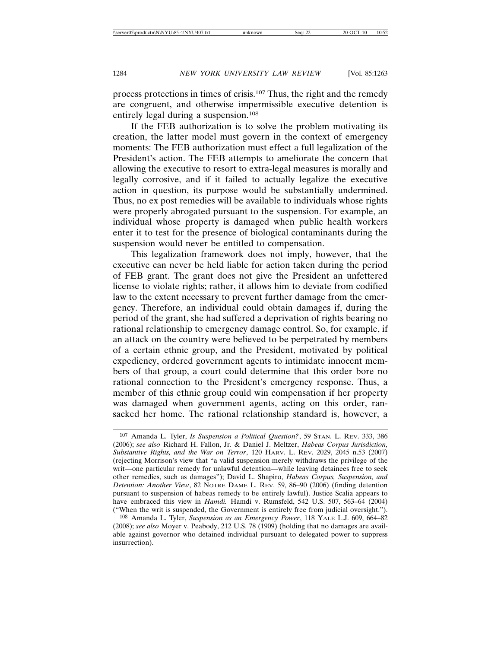process protections in times of crisis.107 Thus, the right and the remedy are congruent, and otherwise impermissible executive detention is entirely legal during a suspension.108

If the FEB authorization is to solve the problem motivating its creation, the latter model must govern in the context of emergency moments: The FEB authorization must effect a full legalization of the President's action. The FEB attempts to ameliorate the concern that allowing the executive to resort to extra-legal measures is morally and legally corrosive, and if it failed to actually legalize the executive action in question, its purpose would be substantially undermined. Thus, no ex post remedies will be available to individuals whose rights were properly abrogated pursuant to the suspension. For example, an individual whose property is damaged when public health workers enter it to test for the presence of biological contaminants during the suspension would never be entitled to compensation.

This legalization framework does not imply, however, that the executive can never be held liable for action taken during the period of FEB grant. The grant does not give the President an unfettered license to violate rights; rather, it allows him to deviate from codified law to the extent necessary to prevent further damage from the emergency. Therefore, an individual could obtain damages if, during the period of the grant, she had suffered a deprivation of rights bearing no rational relationship to emergency damage control. So, for example, if an attack on the country were believed to be perpetrated by members of a certain ethnic group, and the President, motivated by political expediency, ordered government agents to intimidate innocent members of that group, a court could determine that this order bore no rational connection to the President's emergency response. Thus, a member of this ethnic group could win compensation if her property was damaged when government agents, acting on this order, ransacked her home. The rational relationship standard is, however, a

<sup>107</sup> Amanda L. Tyler, *Is Suspension a Political Question?*, 59 STAN. L. REV. 333, 386 (2006); *see also* Richard H. Fallon, Jr. & Daniel J. Meltzer, *Habeas Corpus Jurisdiction, Substantive Rights, and the War on Terror*, 120 HARV. L. REV. 2029, 2045 n.53 (2007) (rejecting Morrison's view that "a valid suspension merely withdraws the privilege of the writ—one particular remedy for unlawful detention—while leaving detainees free to seek other remedies, such as damages"); David L. Shapiro, *Habeas Corpus, Suspension, and Detention: Another View*, 82 NOTRE DAME L. REV. 59, 86–90 (2006) (finding detention pursuant to suspension of habeas remedy to be entirely lawful). Justice Scalia appears to have embraced this view in *Hamdi.* Hamdi v. Rumsfeld, 542 U.S. 507, 563–64 (2004) ("When the writ is suspended, the Government is entirely free from judicial oversight.").

<sup>108</sup> Amanda L. Tyler, *Suspension as an Emergency Power*, 118 YALE L.J. 609, 664–82 (2008); *see also* Moyer v. Peabody, 212 U.S. 78 (1909) (holding that no damages are available against governor who detained individual pursuant to delegated power to suppress insurrection).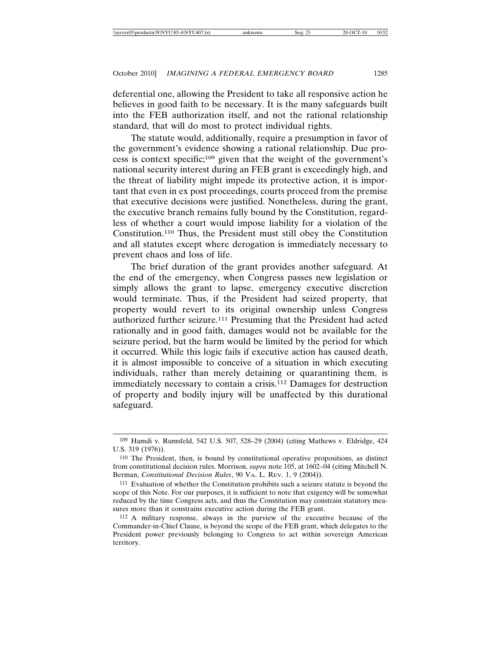deferential one, allowing the President to take all responsive action he believes in good faith to be necessary. It is the many safeguards built into the FEB authorization itself, and not the rational relationship standard, that will do most to protect individual rights.

The statute would, additionally, require a presumption in favor of the government's evidence showing a rational relationship. Due process is context specific;109 given that the weight of the government's national security interest during an FEB grant is exceedingly high, and the threat of liability might impede its protective action, it is important that even in ex post proceedings, courts proceed from the premise that executive decisions were justified. Nonetheless, during the grant, the executive branch remains fully bound by the Constitution, regardless of whether a court would impose liability for a violation of the Constitution.110 Thus, the President must still obey the Constitution and all statutes except where derogation is immediately necessary to prevent chaos and loss of life.

The brief duration of the grant provides another safeguard. At the end of the emergency, when Congress passes new legislation or simply allows the grant to lapse, emergency executive discretion would terminate. Thus, if the President had seized property, that property would revert to its original ownership unless Congress authorized further seizure.111 Presuming that the President had acted rationally and in good faith, damages would not be available for the seizure period, but the harm would be limited by the period for which it occurred. While this logic fails if executive action has caused death, it is almost impossible to conceive of a situation in which executing individuals, rather than merely detaining or quarantining them, is immediately necessary to contain a crisis.112 Damages for destruction of property and bodily injury will be unaffected by this durational safeguard.

<sup>109</sup> Hamdi v. Rumsfeld, 542 U.S. 507, 528–29 (2004) (citing Mathews v. Eldridge, 424 U.S. 319 (1976)).

<sup>110</sup> The President, then, is bound by constitutional operative propositions, as distinct from constitutional decision rules. Morrison, *supra* note 105, at 1602–04 (citing Mitchell N. Berman, *Constitutional Decision Rules*, 90 VA. L. REV. 1, 9 (2004)).

<sup>111</sup> Evaluation of whether the Constitution prohibits such a seizure statute is beyond the scope of this Note. For our purposes, it is sufficient to note that exigency will be somewhat reduced by the time Congress acts, and thus the Constitution may constrain statutory measures more than it constrains executive action during the FEB grant.

<sup>112</sup> A military response, always in the purview of the executive because of the Commander-in-Chief Clause, is beyond the scope of the FEB grant, which delegates to the President power previously belonging to Congress to act within sovereign American territory.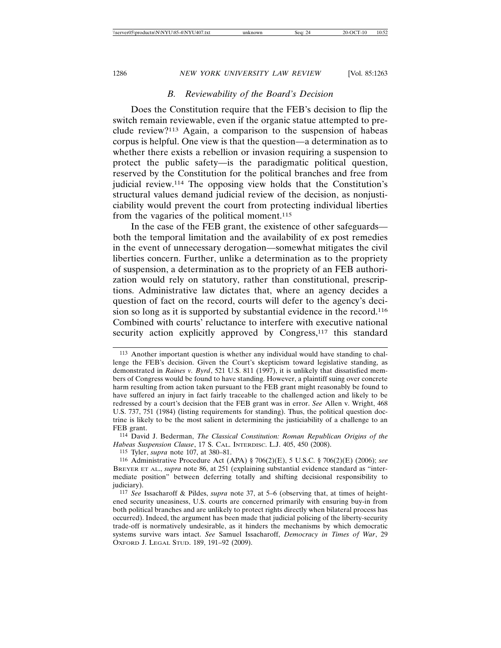#### *B. Reviewability of the Board's Decision*

Does the Constitution require that the FEB's decision to flip the switch remain reviewable, even if the organic statue attempted to preclude review?113 Again, a comparison to the suspension of habeas corpus is helpful. One view is that the question—a determination as to whether there exists a rebellion or invasion requiring a suspension to protect the public safety—is the paradigmatic political question, reserved by the Constitution for the political branches and free from judicial review.114 The opposing view holds that the Constitution's structural values demand judicial review of the decision, as nonjusticiability would prevent the court from protecting individual liberties from the vagaries of the political moment.115

In the case of the FEB grant, the existence of other safeguards both the temporal limitation and the availability of ex post remedies in the event of unnecessary derogation—somewhat mitigates the civil liberties concern. Further, unlike a determination as to the propriety of suspension, a determination as to the propriety of an FEB authorization would rely on statutory, rather than constitutional, prescriptions. Administrative law dictates that, where an agency decides a question of fact on the record, courts will defer to the agency's decision so long as it is supported by substantial evidence in the record.116 Combined with courts' reluctance to interfere with executive national security action explicitly approved by Congress,<sup>117</sup> this standard

115 Tyler, *supra* note 107, at 380–81.

<sup>113</sup> Another important question is whether any individual would have standing to challenge the FEB's decision. Given the Court's skepticism toward legislative standing, as demonstrated in *Raines v. Byrd*, 521 U.S. 811 (1997), it is unlikely that dissatisfied members of Congress would be found to have standing. However, a plaintiff suing over concrete harm resulting from action taken pursuant to the FEB grant might reasonably be found to have suffered an injury in fact fairly traceable to the challenged action and likely to be redressed by a court's decision that the FEB grant was in error. *See* Allen v. Wright, 468 U.S. 737, 751 (1984) (listing requirements for standing). Thus, the political question doctrine is likely to be the most salient in determining the justiciability of a challenge to an FEB grant.

<sup>114</sup> David J. Bederman, *The Classical Constitution: Roman Republican Origins of the Habeas Suspension Clause*, 17 S. CAL. INTERDISC. L.J. 405, 450 (2008).

<sup>116</sup> Administrative Procedure Act (APA) § 706(2)(E), 5 U.S.C. § 706(2)(E) (2006); *see* BREYER ET AL., *supra* note 86, at 251 (explaining substantial evidence standard as "intermediate position" between deferring totally and shifting decisional responsibility to judiciary).

<sup>117</sup> *See* Issacharoff & Pildes, *supra* note 37, at 5–6 (observing that, at times of heightened security uneasiness, U.S. courts are concerned primarily with ensuring buy-in from both political branches and are unlikely to protect rights directly when bilateral process has occurred). Indeed, the argument has been made that judicial policing of the liberty-security trade-off is normatively undesirable, as it hinders the mechanisms by which democratic systems survive wars intact. *See* Samuel Issacharoff, *Democracy in Times of War*, 29 OXFORD J. LEGAL STUD. 189, 191–92 (2009).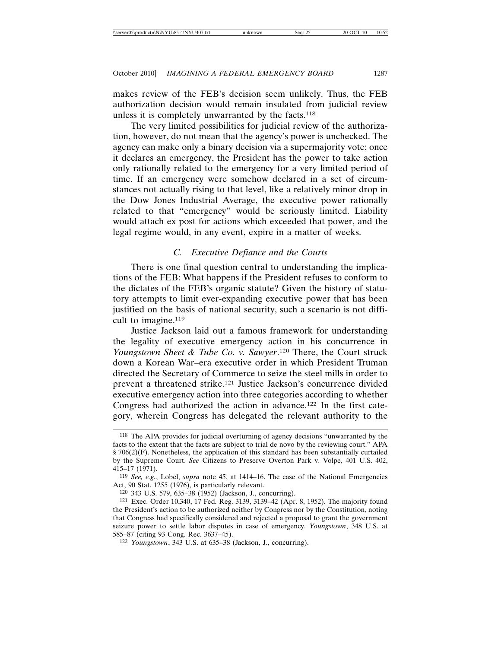makes review of the FEB's decision seem unlikely. Thus, the FEB authorization decision would remain insulated from judicial review unless it is completely unwarranted by the facts.118

The very limited possibilities for judicial review of the authorization, however, do not mean that the agency's power is unchecked. The agency can make only a binary decision via a supermajority vote; once it declares an emergency, the President has the power to take action only rationally related to the emergency for a very limited period of time. If an emergency were somehow declared in a set of circumstances not actually rising to that level, like a relatively minor drop in the Dow Jones Industrial Average, the executive power rationally related to that "emergency" would be seriously limited. Liability would attach ex post for actions which exceeded that power, and the legal regime would, in any event, expire in a matter of weeks.

# *C. Executive Defiance and the Courts*

There is one final question central to understanding the implications of the FEB: What happens if the President refuses to conform to the dictates of the FEB's organic statute? Given the history of statutory attempts to limit ever-expanding executive power that has been justified on the basis of national security, such a scenario is not difficult to imagine.<sup>119</sup>

Justice Jackson laid out a famous framework for understanding the legality of executive emergency action in his concurrence in *Youngstown Sheet & Tube Co. v. Sawyer*. 120 There, the Court struck down a Korean War–era executive order in which President Truman directed the Secretary of Commerce to seize the steel mills in order to prevent a threatened strike.121 Justice Jackson's concurrence divided executive emergency action into three categories according to whether Congress had authorized the action in advance.122 In the first category, wherein Congress has delegated the relevant authority to the

<sup>118</sup> The APA provides for judicial overturning of agency decisions "unwarranted by the facts to the extent that the facts are subject to trial de novo by the reviewing court." APA § 706(2)(F). Nonetheless, the application of this standard has been substantially curtailed by the Supreme Court. *See* Citizens to Preserve Overton Park v. Volpe, 401 U.S. 402, 415–17 (1971).

<sup>119</sup> *See, e.g.*, Lobel, *supra* note 45, at 1414–16. The case of the National Emergencies Act, 90 Stat. 1255 (1976), is particularly relevant.

<sup>120</sup> 343 U.S. 579, 635–38 (1952) (Jackson, J., concurring).

<sup>121</sup> Exec. Order 10,340, 17 Fed. Reg. 3139, 3139–42 (Apr. 8, 1952). The majority found the President's action to be authorized neither by Congress nor by the Constitution, noting that Congress had specifically considered and rejected a proposal to grant the government seizure power to settle labor disputes in case of emergency. *Youngstown*, 348 U.S. at 585–87 (citing 93 Cong. Rec. 3637–45).

<sup>122</sup> *Youngstown*, 343 U.S. at 635–38 (Jackson, J., concurring).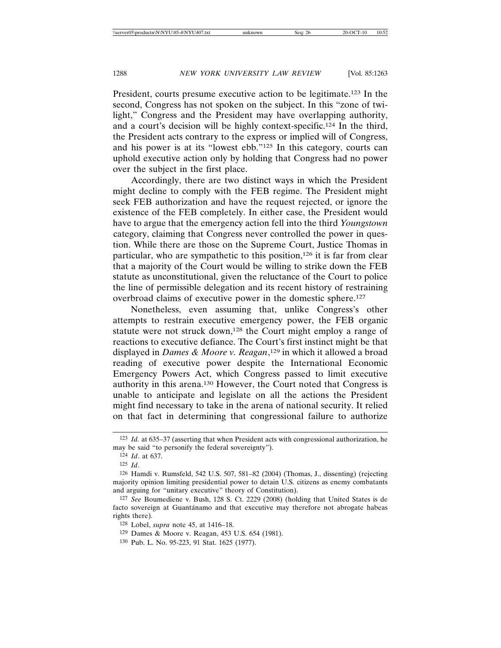President, courts presume executive action to be legitimate.123 In the second, Congress has not spoken on the subject. In this "zone of twilight," Congress and the President may have overlapping authority, and a court's decision will be highly context-specific.124 In the third, the President acts contrary to the express or implied will of Congress, and his power is at its "lowest ebb."125 In this category, courts can uphold executive action only by holding that Congress had no power over the subject in the first place.

Accordingly, there are two distinct ways in which the President might decline to comply with the FEB regime. The President might seek FEB authorization and have the request rejected, or ignore the existence of the FEB completely. In either case, the President would have to argue that the emergency action fell into the third *Youngstown* category, claiming that Congress never controlled the power in question. While there are those on the Supreme Court, Justice Thomas in particular, who are sympathetic to this position, $126$  it is far from clear that a majority of the Court would be willing to strike down the FEB statute as unconstitutional, given the reluctance of the Court to police the line of permissible delegation and its recent history of restraining overbroad claims of executive power in the domestic sphere.127

Nonetheless, even assuming that, unlike Congress's other attempts to restrain executive emergency power, the FEB organic statute were not struck down,128 the Court might employ a range of reactions to executive defiance. The Court's first instinct might be that displayed in *Dames & Moore v. Reagan*, 129 in which it allowed a broad reading of executive power despite the International Economic Emergency Powers Act, which Congress passed to limit executive authority in this arena.130 However, the Court noted that Congress is unable to anticipate and legislate on all the actions the President might find necessary to take in the arena of national security. It relied on that fact in determining that congressional failure to authorize

- 129 Dames & Moore v. Reagan, 453 U.S. 654 (1981).
- 130 Pub. L. No. 95-223, 91 Stat. 1625 (1977).

<sup>123</sup> *Id.* at 635–37 (asserting that when President acts with congressional authorization, he may be said "to personify the federal sovereignty").

<sup>124</sup> *Id*. at 637.

<sup>125</sup> *Id*.

<sup>126</sup> Hamdi v. Rumsfeld, 542 U.S. 507, 581–82 (2004) (Thomas, J., dissenting) (rejecting majority opinion limiting presidential power to detain U.S. citizens as enemy combatants and arguing for "unitary executive" theory of Constitution).

<sup>127</sup> *See* Boumediene v. Bush, 128 S. Ct. 2229 (2008) (holding that United States is de facto sovereign at Guantánamo and that executive may therefore not abrogate habeas rights there).

<sup>128</sup> Lobel, *supra* note 45, at 1416–18.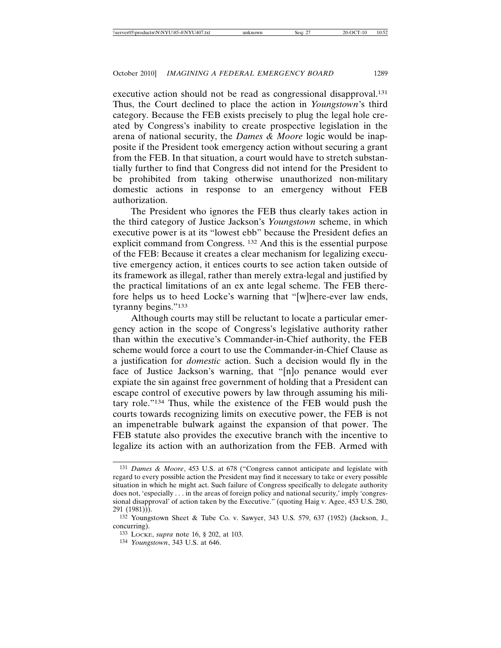executive action should not be read as congressional disapproval.<sup>131</sup> Thus, the Court declined to place the action in *Youngstown*'s third category. Because the FEB exists precisely to plug the legal hole created by Congress's inability to create prospective legislation in the arena of national security, the *Dames & Moore* logic would be inapposite if the President took emergency action without securing a grant from the FEB. In that situation, a court would have to stretch substantially further to find that Congress did not intend for the President to be prohibited from taking otherwise unauthorized non-military domestic actions in response to an emergency without FEB authorization.

The President who ignores the FEB thus clearly takes action in the third category of Justice Jackson's *Youngstown* scheme, in which executive power is at its "lowest ebb" because the President defies an explicit command from Congress. 132 And this is the essential purpose of the FEB: Because it creates a clear mechanism for legalizing executive emergency action, it entices courts to see action taken outside of its framework as illegal, rather than merely extra-legal and justified by the practical limitations of an ex ante legal scheme. The FEB therefore helps us to heed Locke's warning that "[w]here-ever law ends, tyranny begins."133

Although courts may still be reluctant to locate a particular emergency action in the scope of Congress's legislative authority rather than within the executive's Commander-in-Chief authority, the FEB scheme would force a court to use the Commander-in-Chief Clause as a justification for *domestic* action. Such a decision would fly in the face of Justice Jackson's warning, that "[n]o penance would ever expiate the sin against free government of holding that a President can escape control of executive powers by law through assuming his military role."134 Thus, while the existence of the FEB would push the courts towards recognizing limits on executive power, the FEB is not an impenetrable bulwark against the expansion of that power. The FEB statute also provides the executive branch with the incentive to legalize its action with an authorization from the FEB. Armed with

<sup>131</sup> *Dames & Moore*, 453 U.S. at 678 ("Congress cannot anticipate and legislate with regard to every possible action the President may find it necessary to take or every possible situation in which he might act. Such failure of Congress specifically to delegate authority does not, 'especially . . . in the areas of foreign policy and national security,' imply 'congressional disapproval' of action taken by the Executive." (quoting Haig v. Agee, 453 U.S. 280, 291 (1981))).

<sup>132</sup> Youngstown Sheet & Tube Co. v. Sawyer, 343 U.S. 579, 637 (1952) (Jackson, J., concurring).

<sup>133</sup> LOCKE, *supra* note 16, § 202, at 103.

<sup>134</sup> *Youngstown*, 343 U.S. at 646.